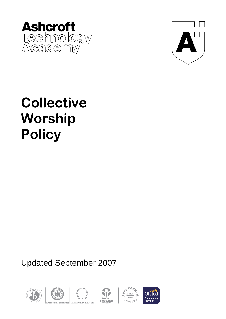



# **Collective Worship Policy**

# Updated September 2007









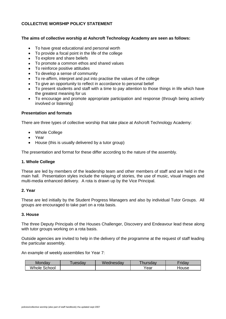# **COLLECTIVE WORSHIP POLICY STATEMENT**

# **The aims of collective worship at Ashcroft Technology Academy are seen as follows:**

- To have great educational and personal worth
- To provide a focal point in the life of the college  $\bullet$
- To explore and share beliefs  $\bullet$
- To promote a common ethos and shared values
- To reinforce positive attitudes  $\bullet$
- To develop a sense of community
- To re-affirm, interpret and put into practise the values of the college  $\bullet$
- To give an opportunity to reflect in accordance to personal belief
- To present students and staff with a time to pay attention to those things in life which have the greatest meaning for us
- To encourage and promote appropriate participation and response (through being actively involved or listening)

#### **Presentation and formats**

There are three types of collective worship that take place at Ashcroft Technology Academy:

- Whole College
- Year
- House (this is usually delivered by a tutor group)  $\bullet$

The presentation and format for these differ according to the nature of the assembly.

#### **1. Whole College**

These are led by members of the leadership team and other members of staff and are held in the main hall. Presentation styles include the relaying of stories, the use of music, visual images and multi-media enhanced delivery. A rota is drawn up by the Vice Principal.

#### **2. Year**

These are led initially by the Student Progress Managers and also by individual Tutor Groups. All groups are encouraged to take part on a rota basis.

# **3. House**

The three Deputy Principals of the Houses Challenger, Discovery and Endeavour lead these along with tutor groups working on a rota basis.

Outside agencies are invited to help in the delivery of the programme at the request of staff leading the particular assembly.

An example of weekly assemblies for Year 7:

| Mondav          | uesdav | $\mathbf{A}$<br>Wednesdav | hursdav | <b>Friday</b> |
|-----------------|--------|---------------------------|---------|---------------|
| Whole<br>School |        |                           | Year    | House         |